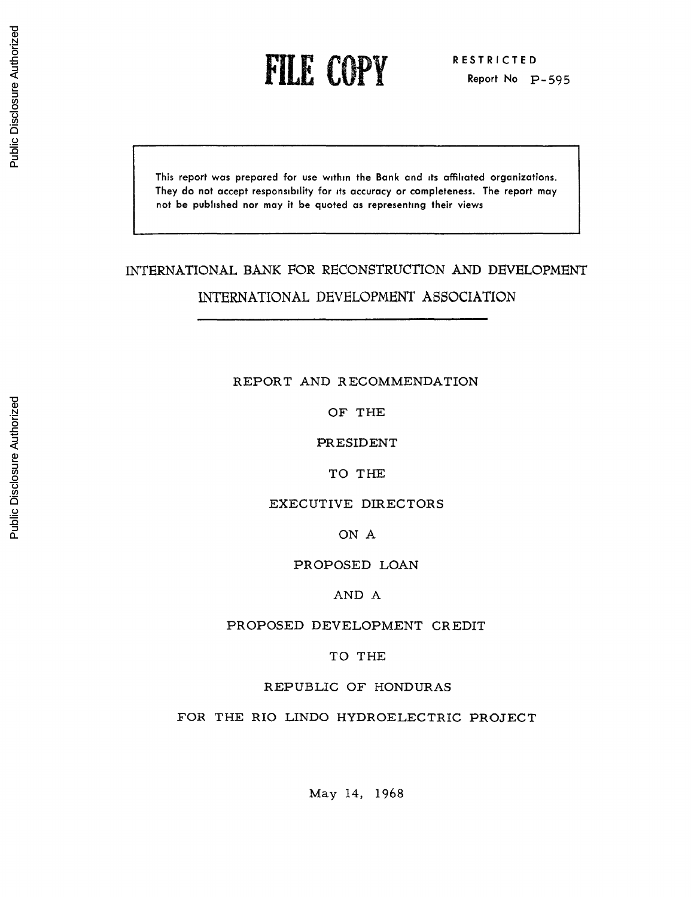rILE CN Y **1LReport No** p-595

This **report was prepared for use within the Bank and its affiliated organizations. They do not accept responsibility for its accuracy or completeness. The report may not be published nor may** it **be quoted as representing their views**

# INTERNATIONAL BANK FOR RECONSTRUCTION AND DEVELOPMENT INTERNATIONAL DEVELOPMENT ASSOCIATION

# REPORT AND RECOMMENDATION

OF THE

PRESIDENT

TO THE

EXECUTIVE DIRECTORS

ON A

PROPOSED LOAN

AND A

PROPOSED DEVELOPMENT CREDIT

TO THE

REPUBLIC OF HONDURAS

FOR THE RIO LINDO HYDROELECTRIC PROJECT

May 14, 1968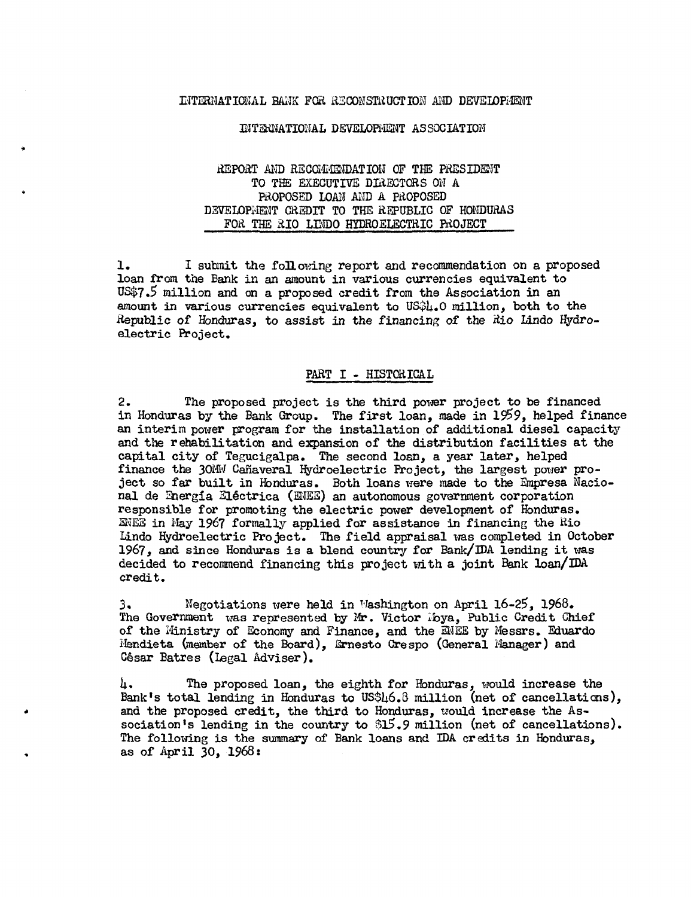# INTERNATIONAL BANK FOR RECONSTRUCTION AND DEVELOPMENT

#### INTERNATIONAL DEVELOPMENT ASSOCIATION

# REPORT AND RECOMMENDATION OF THE PRESIDENT TO THE EXECUTIVE DIRECTORS ON A PR.OPOSED LOAN AND A PAOPOSED DEVELOPMENT CREDIT TO THE REPUBLIC OF HONDURAS FOR THE RIO LWDO HYDROELECTRIC PROJECT

1. I submit the following report and recommendation on a proposed loan from the Bank in an amount in various currencies equivalent to US\$7.5 million and on a proposed credit from the Association in an amount in various currencies equivalent to US\$4.0 million, both to the Republic of Honduras, to assist in the financing of the Xio Lindo Hydroelectric Project.

## PART I - HISTORICAL

2. The proposed project is the third power project to be financed in Honduras by the Bank Group. The first loan, made in 1959, helped finance an interim power program for the installation of additional diesel capacity and the rehabilitation and expansion of the distribution facilities at the capital city of Tegucigalpa. The second loan, a year later, helped finance the 30MW Canaveral Hydroelectric Project, the largest power project so far built in Honduras. Both loans were made to the Empresa Nacional de Energia Eléctrica (ENEE) an autonomous government corporati responsible for promoting the electric power development of Honduras. ENEE in May 1967 formally applied for assistance in financing the Rio Lindo Hydroelectric Project. The field appraisal was completed in October 1967, and since Honduras is a blend country for Bank/IDA lending it was decided to recommend financing this project with a joint Bank loan/IDA credit.

3. Negotiations were held in Washington on April 16-25, 1968. The Government was represented by Mr. Victor lbya, Public Credit Chief of the Ministry of Economy and Finance, and the ENEE by Messrs. Eduardo ±4endieta (member of the Board), \$rnesto Crespo (General Nlanager) and César Batres (Legal Adviser).

4. The proposed loan, the eighth for Honduras, would increase the Bank's total lending in Honduras to US\$46.3 million (net of cancellations), and the proposed credit, the third to Honduras, would increase the Association's lending in the country to  $$15.9$  million (net of cancellations). The following is the summary of Bank loans and IDA credits in Honduras, as of April 30, 1968: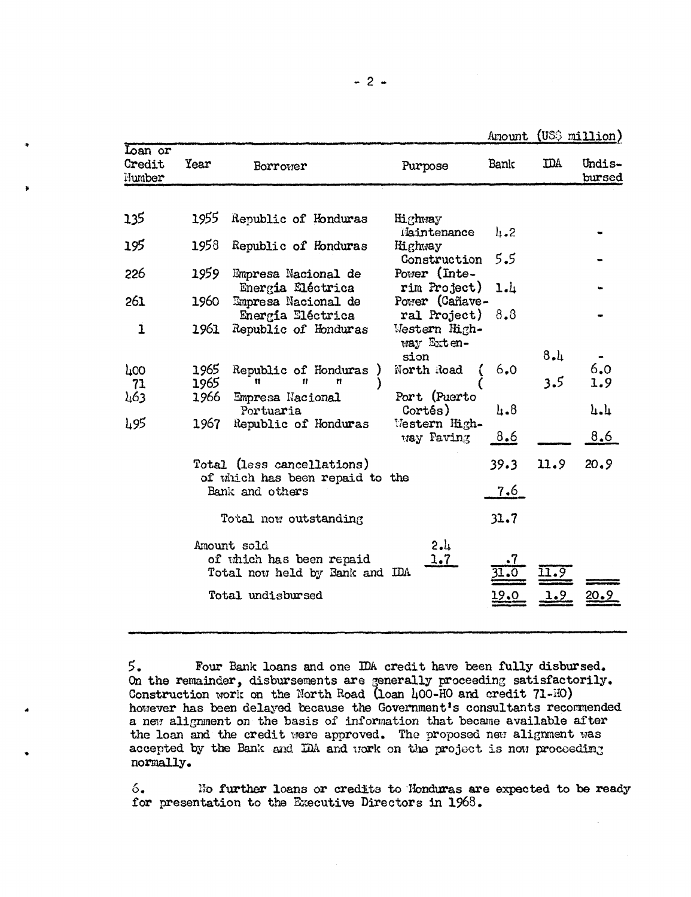Amount (US\$ million)

| Loan or<br>Credit<br>Number | Year                       | Borrower                                                                  | Purpose                                     | Bank              | <b>IDA</b> | Undis-<br>bursed |
|-----------------------------|----------------------------|---------------------------------------------------------------------------|---------------------------------------------|-------------------|------------|------------------|
|                             |                            |                                                                           |                                             |                   |            |                  |
| 135                         | 1955                       | Republic of Honduras                                                      | Highway                                     |                   |            |                  |
| 195                         | 1958                       | Republic of Honduras                                                      | Maintenance<br>Highway<br>Construction      | $\ln 2$<br>5.5    |            |                  |
| 226                         | 1959                       | Empresa Nacional de<br>Energia Eléctrica                                  | Power (Inte-<br>rim Project)                | 1.1               |            |                  |
| 261                         | 1960                       | Empresa Nacional de                                                       | Power (Cañave-                              | 8.8               |            |                  |
| 1                           | 1961                       | Energía Eléctrica<br>Republic of Honduras                                 | ral Project)<br>Western High-<br>way Exten- |                   |            |                  |
|                             |                            |                                                                           | sion                                        |                   | 8.1        |                  |
| 400<br>71                   | 1965<br>1965               | Republic of Honduras<br>Ħ<br>Ħ<br>Ħ                                       | North Road                                  | 6,0               | 3.5        | 6.0<br>1.9       |
| 463                         | 1966                       | Empresa Nacional<br>Portuaria                                             | Port (Puerto<br>Cortés)                     | $\mu_{\bullet}$ 8 |            | ր•ր              |
| և95                         | 1967                       | Republic of Honduras                                                      | Western High-<br>way Paving                 | 8.6               |            | 8,6              |
|                             | Total (less cancellations) |                                                                           |                                             | 39.3              | 11.9       | 20.9             |
|                             |                            | of which has been repaid to the<br>Bank and others                        |                                             | <u>7.6 </u>       |            |                  |
|                             |                            | Total now outstanding                                                     |                                             | 31.7              |            |                  |
|                             |                            | Amount sold<br>of which has been repaid<br>Total now held by Bank and IDA | 2.1<br>1.7                                  |                   |            |                  |
|                             |                            | Total undisbursed                                                         |                                             |                   |            |                  |

<sup>5.</sup> Four Bank loans and one IDA credit have been fully disbursed. On the remainder, disbursements are generally proceeding satisfactorily. Construction work on the North Road (loan 400-HO and credit 71-HO) however has been delayed because the Government's consultants recommended a new alignment on the basis of information that became available after the loan and the credit were approved. The proposed new alignment was accepted by the Bank and IDA and work on the project is now proceeding normally.

 $6.$ No further loans or credits to Honduras are expected to be ready for presentation to the Executive Directors in 1968.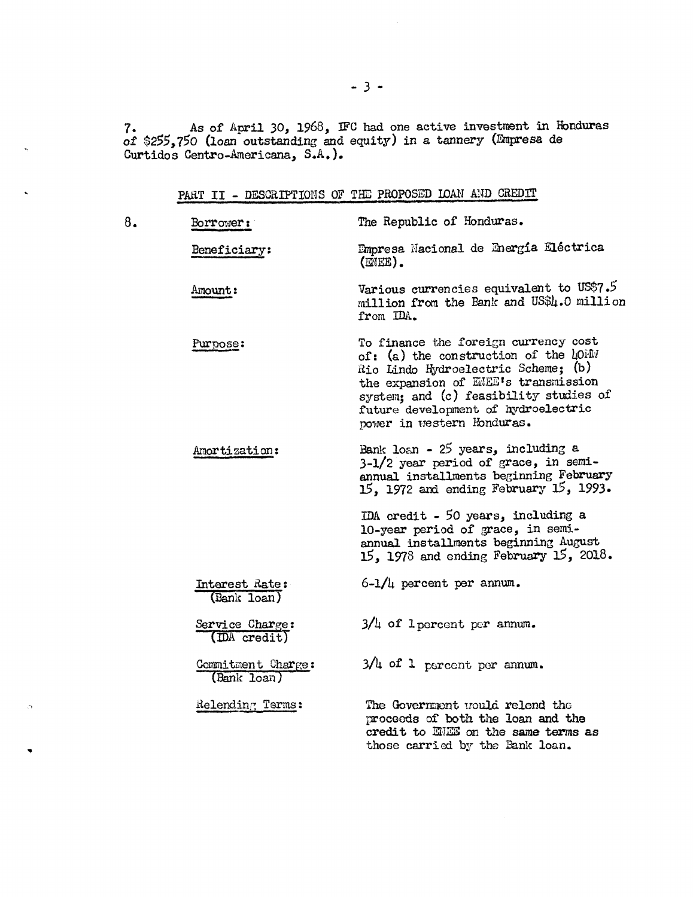7. As of April 30, 1968, IFC had one active investment in Honduras of \$255,750 (loan outstanding and equity) in a tannery (Empresa de Curtidos Centro-Anericana, S.A.).

| 8. | Borrower:                         | The Republic of Honduras.                                                                                                                                                                                                                                                  |
|----|-----------------------------------|----------------------------------------------------------------------------------------------------------------------------------------------------------------------------------------------------------------------------------------------------------------------------|
|    | Beneficiary:                      | Empresa Nacional de Energía Eléctrica<br>$(MEE)$ .                                                                                                                                                                                                                         |
|    | Amount:                           | Various currencies equivalent to US\$7.5<br>million from the Bank and US\$4.0 million<br>from IDA.                                                                                                                                                                         |
|    | Purpose:                          | To finance the foreign currency cost<br>of: (a) the construction of the hOMM<br>Rio Lindo Hydroelectric Scheme; (b)<br>the expansion of ENEE's transmission<br>system; and (c) feasibility studies of<br>future development of hydroelectric<br>power in western Honduras. |
|    | Amortization:                     | Bank loan - 25 years, including a<br>3-1/2 year period of grace, in semi-<br>annual installments beginning February<br>15, 1972 and ending February 15, 1993.                                                                                                              |
|    |                                   | IDA credit - 50 years, including a<br>10-year period of grace, in semi-<br>annual installments beginning August<br>$15, 1978$ and ending February $15, 2018$ .                                                                                                             |
|    | Interest Rate:<br>(Bank loan)     | $6-1/4$ percent per annum.                                                                                                                                                                                                                                                 |
|    | Service Charge:<br>(DA credit)    | $3/4$ of l percent per annum.                                                                                                                                                                                                                                              |
|    | Commitment Charge:<br>(Bank loan) | $3/\mu$ of 1 percent per annum.                                                                                                                                                                                                                                            |
|    | Relending Terms:                  | The Government would relend the<br>proceeds of both the loan and the<br>credit to ENES on the same terms as<br>those carried by the Bank loan.                                                                                                                             |

 $\hat{\mathcal{D}}$ 

 $\ddot{\phantom{0}}$ 

PART II - DESCRIPTIONS OF THE PROPOSED LOAN AND CREDIT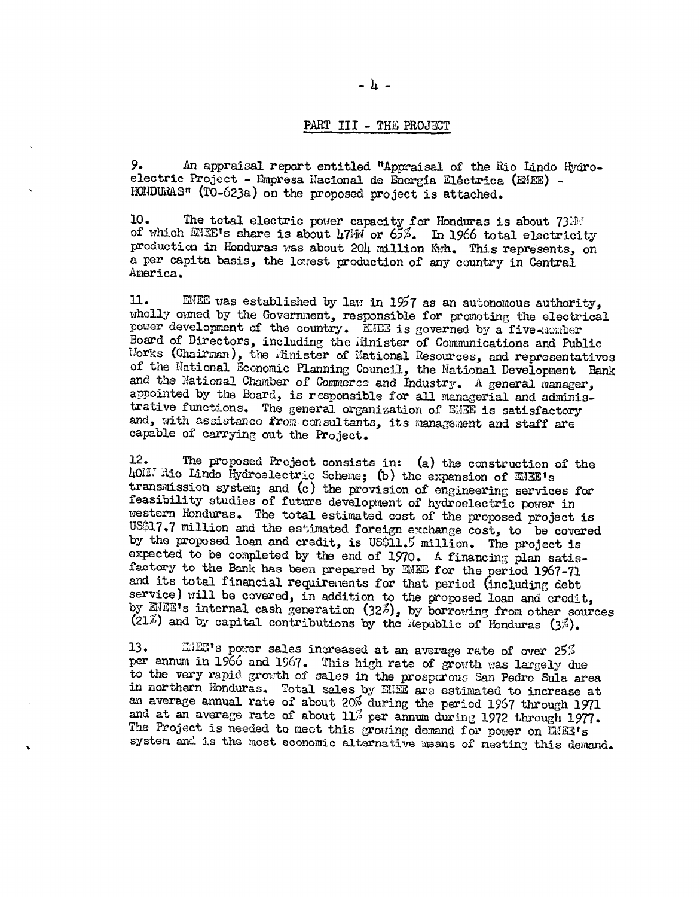## PART III - THE PROJECT

9. An appraisal report entitled "Appraisal of the Rio Lindo Hydroelectric Project - Empresa Nacional de Energía Eléctrica (ENEE) -HONDURAS" (TO-623a) on the proposed project is attached.

10. The total electric power capacity for Honduras is about 73.10 of which ENEE's share is about 47kW or 65%. In 1966 total electricity production in Honduras was about 204 million Kwh. This represents, on a per capita basis, the lowest production of any country in Central America.

 $\mathbf{u}$ . ENEE was established by law in 1957 as an autonomous authority, wholly owned by the Government, responsible for promoting the electrical power development of the country. ENEE is governed by a five-momber Board of Directors, including the Minister of Communications and Public Morks (Chairman), the Hinister of National Resources, and representatives of the National Economic Planning Council, the National Development Bank and the National Chamber of Commerce and Industry. A general manager, appointed by the Board, is responsible for all managerial and administrative functions. The general organization of ENEE is satisfactory and, with assistance from consultants, its management and staff are capable of carrying out the Project.

 $12.$ The proposed Project consists in: (a) the construction of the LONN Rio Lindo Hydroelectric Scheme; (b) the expansion of ENEE's transmission system; and (c) the provision of engineering services for feasibility studies of future development of hydroelectric power in western Honduras. The total estimated cost of the proposed project is US\$17.7 million and the estimated foreign exchange cost, to be covered by the proposed loan and credit, is US\$11.5 million. The project is expected to be completed by the end of 1970. A financing plan satisfactory to the Bank has been prepared by ENEE for the period 1967-71 and its total financial requirements for that period (including debt service) will be covered, in addition to the proposed loan and credit, by EIEE's internal cash generation (32%), by borrowing from other sources (21%) and by capital contributions by the Republic of Honduras (3%).

13. INES's power sales increased at an average rate of over 25% per annum in 1966 and 1967. This high rate of growth was largely due to the very rapid growth of sales in the prosporous San Pedro Sula area in northern Honduras. Total sales by EUE are estimated to increase at an average annual rate of about 20% during the period 1967 through 1971 and at an average rate of about 11% per annum during 1972 through 1977. The Project is needed to meet this growing demand for power on ENEE's system and is the most economic alternative means of meeting this demand.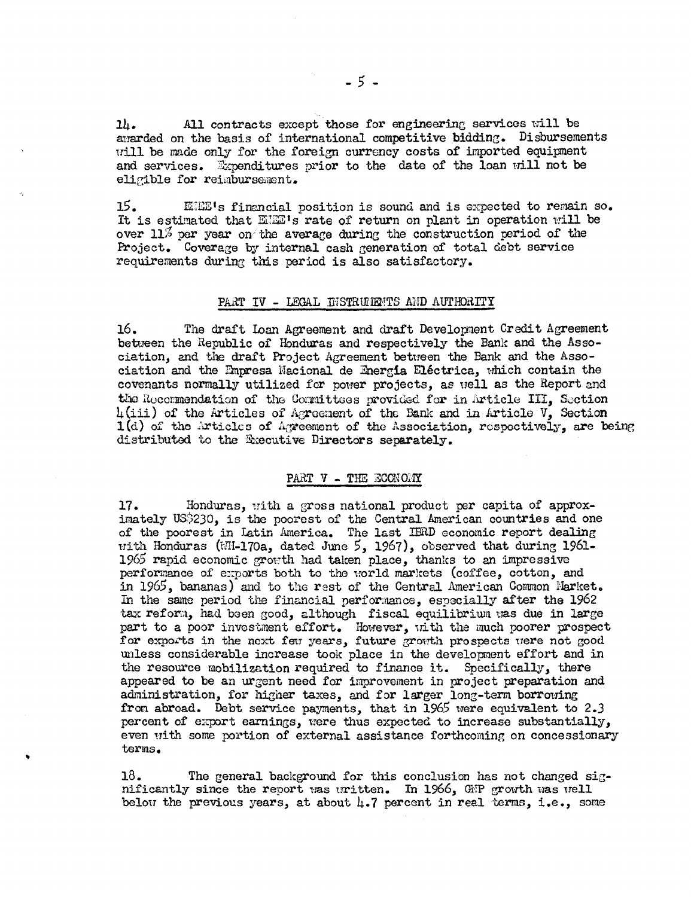All contracts except those for engineering services will be  $2\mu$ . awarded on the basis of international competitive bidding. Disbursements will be made only for the foreign currency costs of imported equipment and services. Expenditures prior to the date of the loan will not be eligible for reimbursement.

 $15.$ EHE's financial position is sound and is expected to remain so. It is estimated that EME's rate of return on plant in operation will be over 11% per year on the average during the construction period of the Project. Coverage by internal cash generation of total debt service requirements during this period is also satisfactory.

# PART IV - LEGAL DISTRUIENTS AND AUTHORITY

16. The draft Loan Agreement and draft Development Credit Agreement between the Republic of Honduras and respectively the Bank and the Association, and the draft Project Agreement between the Bank and the Association and the Empresa Nacional de Energía Eléctrica, which contain the covenants normally utilized for power projects, as well as the Report and the Recommendation of the Cormittees provided for in Article III, Section  $h(iii)$  of the Articles of Agreement of the Bank and in Article  $V$ , Section  $1(d)$  of the Articles of Agreement of the Association, respectively, are being distributed to the Executive Directors separately.

# PART V - THE ECONOMY

17. Honduras, with a gross national product per capita of approximately US\$230, is the poorest of the Central American countries and one of the poorest in Latin America. The last IBRD economic report dealing with Honduras (WH-170a, dated June 5, 1967), observed that during 1961-1965 rapid economic growth had taken place, thanks to an impressive performance of exports both to the world markets (coffee, cotton, and in 1965, bananas) and to the rest of the Central American Common Market. In the same period the financial performance, especially after the 1962 tax reform, had been good, although fiscal equilibrium was due in large part to a poor investment effort. However, with the much poorer prospect for exports in the next few years, future growth prospects were not good unless considerable increase took place in the development effort and in the resource mobilization required to finance it. Specifically, there appeared to be an urgent need for improvement in project preparation and administration, for higher taxes, and for larger long-term borrowing from abroad. Debt service payments, that in 1965 were equivalent to 2.3 percent of export earnings, were thus expected to increase substantially, even with some portion of external assistance forthcoming on concessionary terms.

The general background for this conclusion has not changed sig- $18.$ nificantly since the report was uritten. In 1966, GNP growth was well below the previous years, at about  $\mu$ .7 percent in real terms, i.e., some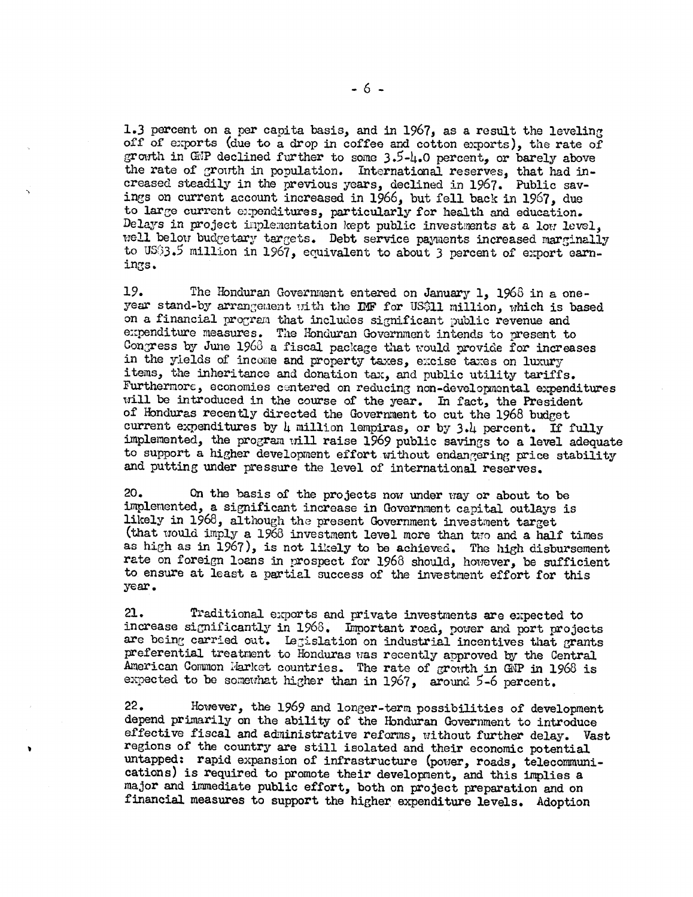1.3 percent on a per capita basis, and in 1967, as a result the leveling off of exports (due to a drop in coffee and cotton exports), the rate of growth in GMP declined further to some  $3.5-1.0$  percent, or barely above the rate of growth in population. International reserves, that had increased steadily in the previous years, declined in 1967. Public savings on current account increased in 1966, but fell back in 1967, due to large current expenditures, particularly for health and education. Delays in project implementation kept public investments at a low level, well below budgetary targets. Debt service payments increased marginally to US33.5 million in 1967, equivalent to about 3 percent of export earnings.

19. The Honduran Governrnent entered on January 1, 1963 in a oneyear stand-by arrangement with the IMF for US\$11 million, which is based on a financial program that includes significant public revenue and expenditure measures. The Honduran Government intends to present to Congress by June  $1963$  a fiscal package that would provide for increases in the yields of income and property taxes, excise taxes on luxury items, the inheritance and donation tax, and public utility tariffs. Furthermore, economies centered on reducing non-developmental expenditures will be introduced in the course of the year. In fact, the President of Honduras recently directed the Government to cut the 1968 budget current expenditures by 4 million lempiras, or by 3.4 percent. If fully implemented, the progran will raise 1969 public savings to a level adequate to support a higher development effort without endangering price stability and putting under pressure the level of international reserves.

20. On the basis of the projects now under way or about to be implemented, a significant increase in Government capital outlays is likely in 1968, although the present Government investment target (that would imply a 1966 investment level more than two and a half times as high as in 1967), is not likely to be achieved. The high disbursement rate on foreign loans in prospect for 1968 should, however, be sufficient to ensure at least a partial Success of the investment effort for this year.

21. Traditional exports and private investments are expected to increase significantly in 1968. Important road, power and port projects are being carried out. Legislation on industrial incentives that grants preferential treatment to Honduras was recently approved by the Central American Common Market countries. The rate of growth in GNP in 1968 is expected to be somewhat higher than in 1967, around 5-6 percent.

22. However, the 1969 and longer-term possibilities of development depend primarily on the ability of the Honduran Government to introduce effective fiscal and administrative reforms, without further delay. Vast regions of the country are still isolated and their economic potential untapped: rapid expansion of infrastructure (power, roads, telecommunications) is required to promote their development, and this implies a major and immediate public effort, both on project preparation and on financial measures to support the higher expenditure levels. Adoption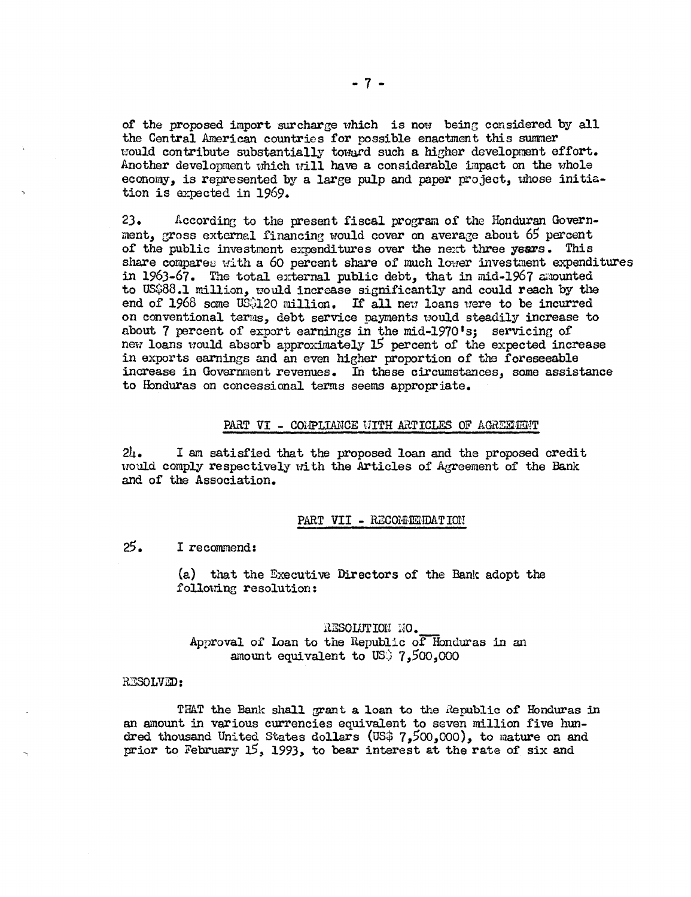of the proposed import surcharge which is now- being considered by all the Central American countrios for possible enactment this summer would contribute substantially toward such a higher development effort. Another development which will have a considerable impact on the whole economy, is represented by a large pulp and paper project, whose initiation is expected in 1969.

23. According to the present fiscal program of the ionduran Government, gross external financing would cover on average about  $65$  percent of the public investment expenditures over the next three years. This share compares with a 60 percent share of much lower investment expenditures in 1963-67. The total external public debt, that in mid-1967 amounted to US\$88.1 million, would increase significantly and could reach by the end of 1968 some US\$120 million. If all new loans were to be incurred on conventional terms, debt service payments would steadily increase to about 7 percent of export earnings in the mid-1970's; servicing of new loans would absorb approximately 15 percent of the expected increase in exports earnings and an even higher proportion of the foreseeable increase in Government revenues. In these circumstances, some assistance to Honduras on concessional terms seems appropriate.

#### PART VI - COMPLIANCE WITH ARTICLES OF AGREEMENT

24. I an satisfied that the proposed loan and the proposed credit would comply respectively with the Articles of Agreement of the Bank and of the Association.

## PART VII - RECOMMENDATION

25. I recomnend:

(a) that the Executive Directors of the Bank adopt the following resolution:

RESOLUTION NO. Approval of Loan to the Republic of Honduras in an amount equivalent to US') 7,500,000

## RESOLVED:

THAT the Bank shall grant a loan to the Republic of Honduras in an amount in various currencies equivalent to seven million five hundred thousand United States dollars (US\$ 7,500,000), to mature on and prior to February 15, 1993, to bear interest at the rate of six and